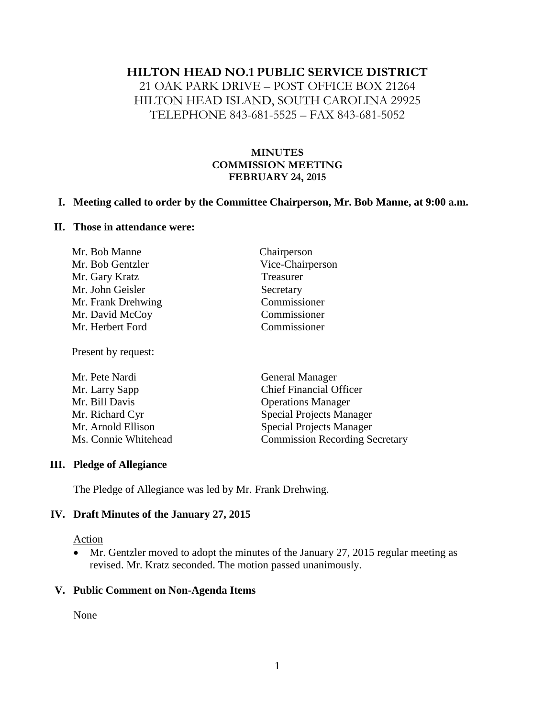### **HILTON HEAD NO.1 PUBLIC SERVICE DISTRICT**

21 OAK PARK DRIVE – POST OFFICE BOX 21264 HILTON HEAD ISLAND, SOUTH CAROLINA 29925 TELEPHONE 843-681-5525 – FAX 843-681-5052

### **MINUTES COMMISSION MEETING FEBRUARY 24, 2015**

#### **I. Meeting called to order by the Committee Chairperson, Mr. Bob Manne, at 9:00 a.m.**

#### **II. Those in attendance were:**

| Mr. Bob Manne      | Chairperson      |
|--------------------|------------------|
| Mr. Bob Gentzler   | Vice-Chairperson |
| Mr. Gary Kratz     | Treasurer        |
| Mr. John Geisler   | Secretary        |
| Mr. Frank Drehwing | Commissioner     |
| Mr. David McCoy    | Commissioner     |
| Mr. Herbert Ford   | Commissioner     |
|                    |                  |

Present by request:

| Mr. Pete Nardi       | <b>General Manager</b>                |
|----------------------|---------------------------------------|
| Mr. Larry Sapp       | <b>Chief Financial Officer</b>        |
| Mr. Bill Davis       | <b>Operations Manager</b>             |
| Mr. Richard Cyr      | <b>Special Projects Manager</b>       |
| Mr. Arnold Ellison   | <b>Special Projects Manager</b>       |
| Ms. Connie Whitehead | <b>Commission Recording Secretary</b> |

#### **III. Pledge of Allegiance**

The Pledge of Allegiance was led by Mr. Frank Drehwing.

#### **IV. Draft Minutes of the January 27, 2015**

#### Action

 Mr. Gentzler moved to adopt the minutes of the January 27, 2015 regular meeting as revised. Mr. Kratz seconded. The motion passed unanimously.

#### **V. Public Comment on Non-Agenda Items**

None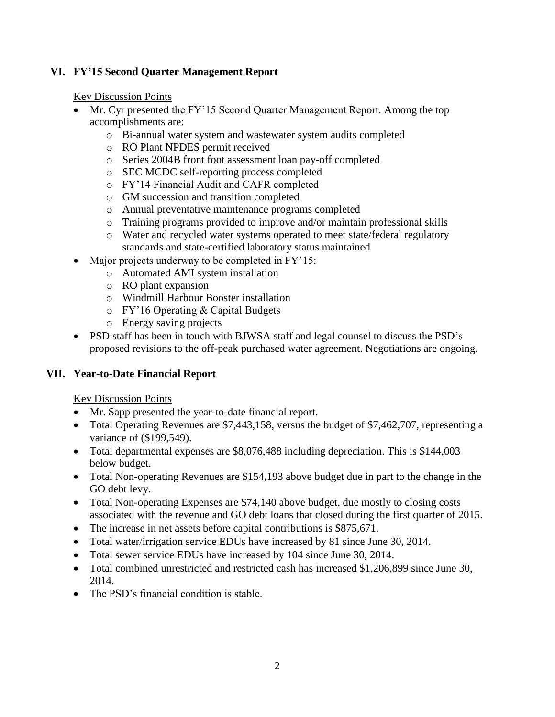## **VI. FY'15 Second Quarter Management Report**

Key Discussion Points

- Mr. Cyr presented the FY'15 Second Quarter Management Report. Among the top accomplishments are:
	- o Bi-annual water system and wastewater system audits completed
	- o RO Plant NPDES permit received
	- o Series 2004B front foot assessment loan pay-off completed
	- o SEC MCDC self-reporting process completed
	- o FY'14 Financial Audit and CAFR completed
	- o GM succession and transition completed
	- o Annual preventative maintenance programs completed
	- o Training programs provided to improve and/or maintain professional skills
	- o Water and recycled water systems operated to meet state/federal regulatory standards and state-certified laboratory status maintained
- Major projects underway to be completed in FY'15:
	- o Automated AMI system installation
	- o RO plant expansion
	- o Windmill Harbour Booster installation
	- o FY'16 Operating & Capital Budgets
	- o Energy saving projects
- PSD staff has been in touch with BJWSA staff and legal counsel to discuss the PSD's proposed revisions to the off-peak purchased water agreement. Negotiations are ongoing.

# **VII. Year-to-Date Financial Report**

Key Discussion Points

- Mr. Sapp presented the year-to-date financial report.
- Total Operating Revenues are \$7,443,158, versus the budget of \$7,462,707, representing a variance of (\$199,549).
- Total departmental expenses are \$8,076,488 including depreciation. This is \$144,003 below budget.
- Total Non-operating Revenues are \$154,193 above budget due in part to the change in the GO debt levy.
- Total Non-operating Expenses are \$74,140 above budget, due mostly to closing costs associated with the revenue and GO debt loans that closed during the first quarter of 2015.
- The increase in net assets before capital contributions is \$875,671.
- Total water/irrigation service EDUs have increased by 81 since June 30, 2014.
- Total sewer service EDUs have increased by 104 since June 30, 2014.
- Total combined unrestricted and restricted cash has increased \$1,206,899 since June 30, 2014.
- The PSD's financial condition is stable.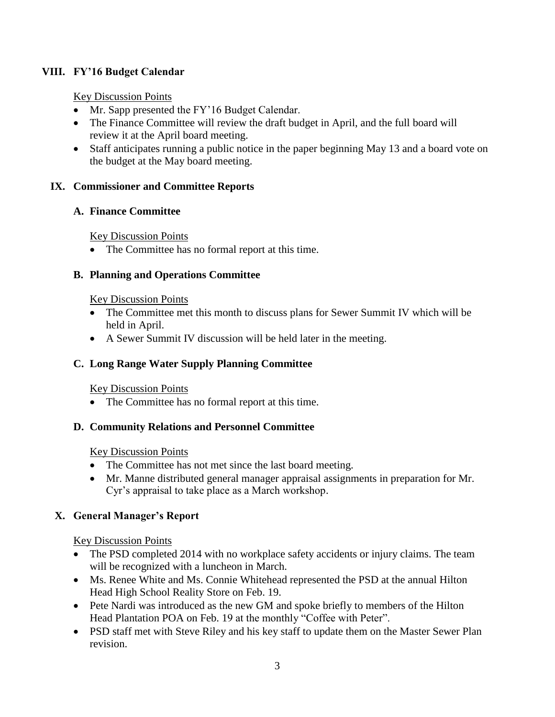# **VIII. FY'16 Budget Calendar**

## Key Discussion Points

- Mr. Sapp presented the FY'16 Budget Calendar.
- The Finance Committee will review the draft budget in April, and the full board will review it at the April board meeting.
- Staff anticipates running a public notice in the paper beginning May 13 and a board vote on the budget at the May board meeting.

## **IX. Commissioner and Committee Reports**

## **A. Finance Committee**

Key Discussion Points

• The Committee has no formal report at this time.

## **B. Planning and Operations Committee**

### Key Discussion Points

- The Committee met this month to discuss plans for Sewer Summit IV which will be held in April.
- A Sewer Summit IV discussion will be held later in the meeting.

# **C. Long Range Water Supply Planning Committee**

# Key Discussion Points

• The Committee has no formal report at this time.

# **D. Community Relations and Personnel Committee**

### Key Discussion Points

- The Committee has not met since the last board meeting.
- Mr. Manne distributed general manager appraisal assignments in preparation for Mr. Cyr's appraisal to take place as a March workshop.

# **X. General Manager's Report**

# Key Discussion Points

- The PSD completed 2014 with no workplace safety accidents or injury claims. The team will be recognized with a luncheon in March.
- Ms. Renee White and Ms. Connie Whitehead represented the PSD at the annual Hilton Head High School Reality Store on Feb. 19.
- Pete Nardi was introduced as the new GM and spoke briefly to members of the Hilton Head Plantation POA on Feb. 19 at the monthly "Coffee with Peter".
- PSD staff met with Steve Riley and his key staff to update them on the Master Sewer Plan revision.